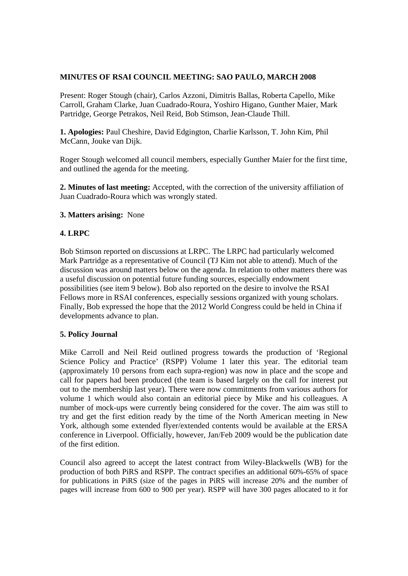# **MINUTES OF RSAI COUNCIL MEETING: SAO PAULO, MARCH 2008**

Present: Roger Stough (chair), Carlos Azzoni, Dimitris Ballas, Roberta Capello, Mike Carroll, Graham Clarke, Juan Cuadrado-Roura, Yoshiro Higano, Gunther Maier, Mark Partridge, George Petrakos, Neil Reid, Bob Stimson, Jean-Claude Thill.

**1. Apologies:** Paul Cheshire, David Edgington, Charlie Karlsson, T. John Kim, Phil McCann, Jouke van Dijk.

Roger Stough welcomed all council members, especially Gunther Maier for the first time, and outlined the agenda for the meeting.

**2. Minutes of last meeting:** Accepted, with the correction of the university affiliation of Juan Cuadrado-Roura which was wrongly stated.

## **3. Matters arising:** None

# **4. LRPC**

Bob Stimson reported on discussions at LRPC. The LRPC had particularly welcomed Mark Partridge as a representative of Council (TJ Kim not able to attend). Much of the discussion was around matters below on the agenda. In relation to other matters there was a useful discussion on potential future funding sources, especially endowment possibilities (see item 9 below). Bob also reported on the desire to involve the RSAI Fellows more in RSAI conferences, especially sessions organized with young scholars. Finally, Bob expressed the hope that the 2012 World Congress could be held in China if developments advance to plan.

## **5. Policy Journal**

Mike Carroll and Neil Reid outlined progress towards the production of 'Regional Science Policy and Practice' (RSPP) Volume 1 later this year. The editorial team (approximately 10 persons from each supra-region) was now in place and the scope and call for papers had been produced (the team is based largely on the call for interest put out to the membership last year). There were now commitments from various authors for volume 1 which would also contain an editorial piece by Mike and his colleagues. A number of mock-ups were currently being considered for the cover. The aim was still to try and get the first edition ready by the time of the North American meeting in New York, although some extended flyer/extended contents would be available at the ERSA conference in Liverpool. Officially, however, Jan/Feb 2009 would be the publication date of the first edition.

Council also agreed to accept the latest contract from Wiley-Blackwells (WB) for the production of both PiRS and RSPP. The contract specifies an additional 60%-65% of space for publications in PiRS (size of the pages in PiRS will increase 20% and the number of pages will increase from 600 to 900 per year). RSPP will have 300 pages allocated to it for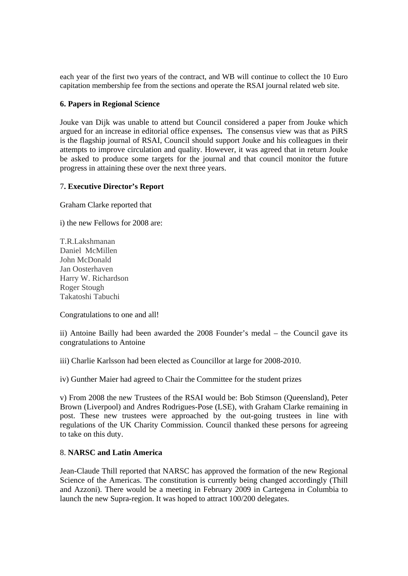each year of the first two years of the contract, and WB will continue to collect the 10 Euro capitation membership fee from the sections and operate the RSAI journal related web site.

#### **6. Papers in Regional Science**

Jouke van Dijk was unable to attend but Council considered a paper from Jouke which argued for an increase in editorial office expenses**.** The consensus view was that as PiRS is the flagship journal of RSAI, Council should support Jouke and his colleagues in their attempts to improve circulation and quality. However, it was agreed that in return Jouke be asked to produce some targets for the journal and that council monitor the future progress in attaining these over the next three years.

#### 7**. Executive Director's Report**

Graham Clarke reported that

i) the new Fellows for 2008 are:

T.R.Lakshmanan Daniel McMillen John McDonald Jan Oosterhaven Harry W. Richardson Roger Stough Takatoshi Tabuchi

Congratulations to one and all!

ii) Antoine Bailly had been awarded the 2008 Founder's medal – the Council gave its congratulations to Antoine

iii) Charlie Karlsson had been elected as Councillor at large for 2008-2010.

iv) Gunther Maier had agreed to Chair the Committee for the student prizes

v) From 2008 the new Trustees of the RSAI would be: Bob Stimson (Queensland), Peter Brown (Liverpool) and Andres Rodrigues-Pose (LSE), with Graham Clarke remaining in post. These new trustees were approached by the out-going trustees in line with regulations of the UK Charity Commission. Council thanked these persons for agreeing to take on this duty.

## 8. **NARSC and Latin America**

Jean-Claude Thill reported that NARSC has approved the formation of the new Regional Science of the Americas. The constitution is currently being changed accordingly (Thill and Azzoni). There would be a meeting in February 2009 in Cartegena in Columbia to launch the new Supra-region. It was hoped to attract 100/200 delegates.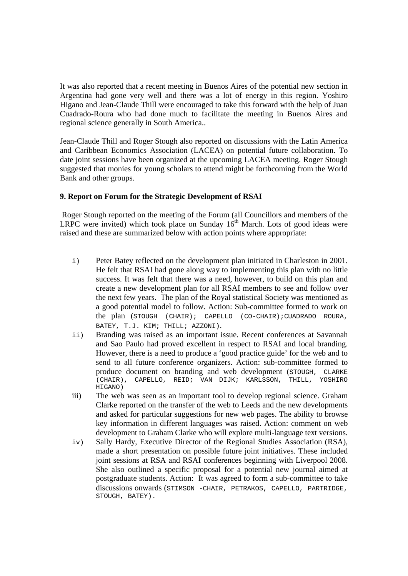It was also reported that a recent meeting in Buenos Aires of the potential new section in Argentina had gone very well and there was a lot of energy in this region. Yoshiro Higano and Jean-Claude Thill were encouraged to take this forward with the help of Juan Cuadrado-Roura who had done much to facilitate the meeting in Buenos Aires and regional science generally in South America..

Jean-Claude Thill and Roger Stough also reported on discussions with the Latin America and Caribbean Economics Association (LACEA) on potential future collaboration. To date joint sessions have been organized at the upcoming LACEA meeting. Roger Stough suggested that monies for young scholars to attend might be forthcoming from the World Bank and other groups.

## **9. Report on Forum for the Strategic Development of RSAI**

 Roger Stough reported on the meeting of the Forum (all Councillors and members of the LRPC were invited) which took place on Sunday  $16<sup>th</sup>$  March. Lots of good ideas were raised and these are summarized below with action points where appropriate:

- i) Peter Batey reflected on the development plan initiated in Charleston in 2001. He felt that RSAI had gone along way to implementing this plan with no little success. It was felt that there was a need, however, to build on this plan and create a new development plan for all RSAI members to see and follow over the next few years. The plan of the Royal statistical Society was mentioned as a good potential model to follow. Action: Sub-committee formed to work on the plan (STOUGH (CHAIR); CAPELLO (CO-CHAIR);CUADRADO ROURA, BATEY, T.J. KIM; THILL; AZZONI).
- ii) Branding was raised as an important issue. Recent conferences at Savannah and Sao Paulo had proved excellent in respect to RSAI and local branding. However, there is a need to produce a 'good practice guide' for the web and to send to all future conference organizers. Action: sub-committee formed to produce document on branding and web development (STOUGH, CLARKE (CHAIR), CAPELLO, REID; VAN DIJK; KARLSSON, THILL, YOSHIRO HIGANO)
- iii) The web was seen as an important tool to develop regional science. Graham Clarke reported on the transfer of the web to Leeds and the new developments and asked for particular suggestions for new web pages. The ability to browse key information in different languages was raised. Action: comment on web development to Graham Clarke who will explore multi-language text versions.
- iv) Sally Hardy, Executive Director of the Regional Studies Association (RSA), made a short presentation on possible future joint initiatives. These included joint sessions at RSA and RSAI conferences beginning with Liverpool 2008. She also outlined a specific proposal for a potential new journal aimed at postgraduate students. Action: It was agreed to form a sub-committee to take discussions onwards (STIMSON -CHAIR, PETRAKOS, CAPELLO, PARTRIDGE, STOUGH, BATEY).